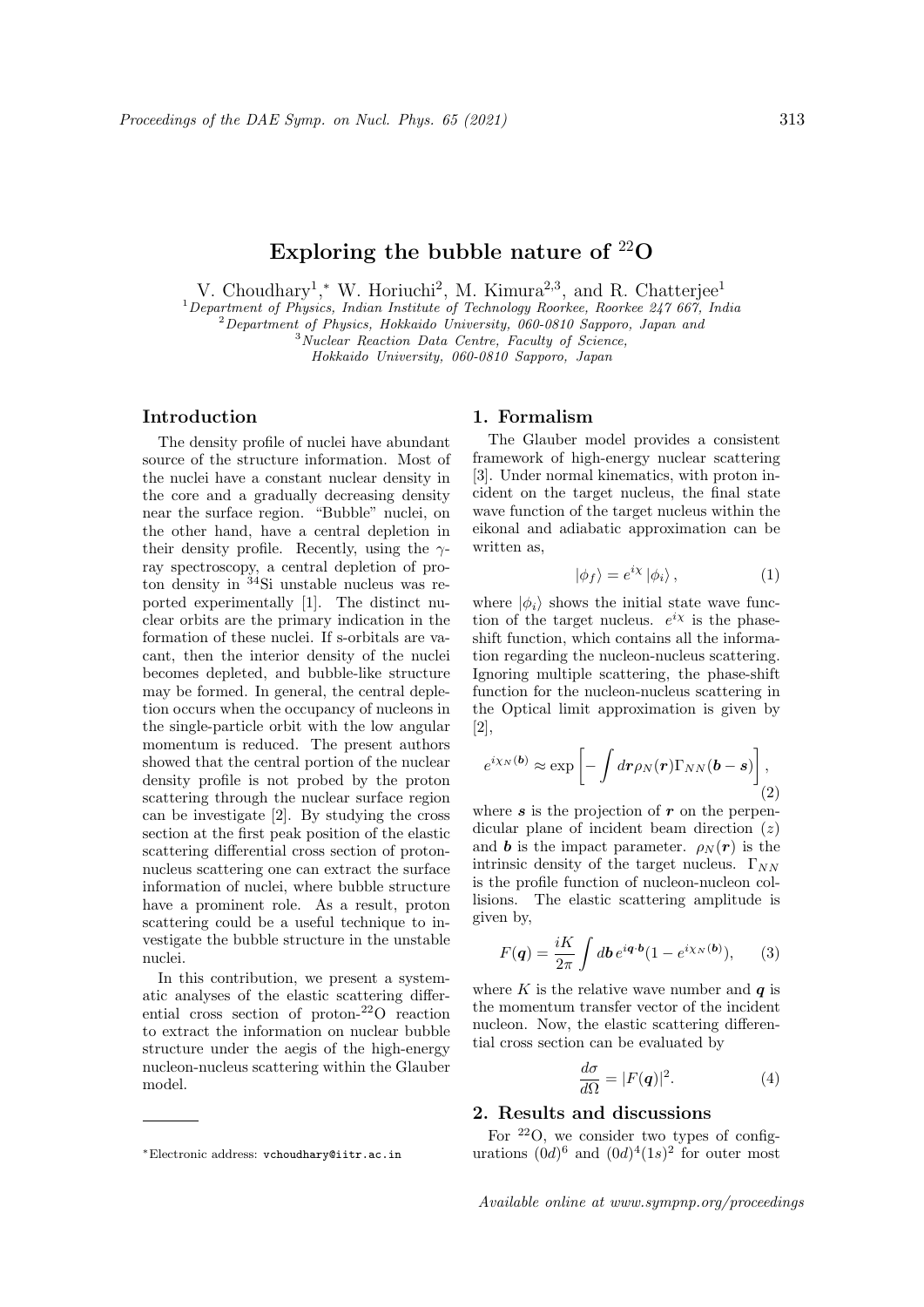# Exploring the bubble nature of  $^{22}O$

V. Choudhary<sup>1</sup>,<sup>\*</sup> W. Horiuchi<sup>2</sup>, M. Kimura<sup>2,3</sup>, and R. Chatterjee<sup>1</sup>

 $1$ Department of Physics, Indian Institute of Technology Roorkee, Roorkee 247 667, India

 $2^{2}$ Department of Physics, Hokkaido University, 060-0810 Sapporo, Japan and

<sup>3</sup> Nuclear Reaction Data Centre, Faculty of Science,

Hokkaido University, 060-0810 Sapporo, Japan

#### Introduction

The density profile of nuclei have abundant source of the structure information. Most of the nuclei have a constant nuclear density in the core and a gradually decreasing density near the surface region. "Bubble" nuclei, on the other hand, have a central depletion in their density profile. Recently, using the  $\gamma$ ray spectroscopy, a central depletion of proton density in  $34$ Si unstable nucleus was reported experimentally [1]. The distinct nuclear orbits are the primary indication in the formation of these nuclei. If s-orbitals are vacant, then the interior density of the nuclei becomes depleted, and bubble-like structure may be formed. In general, the central depletion occurs when the occupancy of nucleons in the single-particle orbit with the low angular momentum is reduced. The present authors showed that the central portion of the nuclear density profile is not probed by the proton scattering through the nuclear surface region can be investigate [2]. By studying the cross section at the first peak position of the elastic scattering differential cross section of protonnucleus scattering one can extract the surface information of nuclei, where bubble structure have a prominent role. As a result, proton scattering could be a useful technique to investigate the bubble structure in the unstable nuclei.

In this contribution, we present a systematic analyses of the elastic scattering differential cross section of proton-<sup>22</sup>O reaction to extract the information on nuclear bubble structure under the aegis of the high-energy nucleon-nucleus scattering within the Glauber model.

## 1. Formalism

The Glauber model provides a consistent framework of high-energy nuclear scattering [3]. Under normal kinematics, with proton incident on the target nucleus, the final state wave function of the target nucleus within the eikonal and adiabatic approximation can be written as,

$$
|\phi_f\rangle = e^{i\chi} |\phi_i\rangle, \qquad (1)
$$

where  $|\phi_i\rangle$  shows the initial state wave function of the target nucleus.  $e^{i\chi}$  is the phaseshift function, which contains all the information regarding the nucleon-nucleus scattering. Ignoring multiple scattering, the phase-shift function for the nucleon-nucleus scattering in the Optical limit approximation is given by [2],

$$
e^{i\chi_N(\boldsymbol{b})} \approx \exp\left[-\int d\boldsymbol{r} \rho_N(\boldsymbol{r}) \Gamma_{NN}(\boldsymbol{b}-\boldsymbol{s})\right],\tag{2}
$$

where  $s$  is the projection of  $r$  on the perpendicular plane of incident beam direction  $(z)$ and **b** is the impact parameter.  $\rho_N(\mathbf{r})$  is the intrinsic density of the target nucleus.  $\Gamma_{NN}$ is the profile function of nucleon-nucleon collisions. The elastic scattering amplitude is given by,

$$
F(q) = \frac{iK}{2\pi} \int d\mathbf{b} \, e^{i\mathbf{q} \cdot \mathbf{b}} (1 - e^{i\chi_N(\mathbf{b})}), \qquad (3)
$$

where K is the relative wave number and  $q$  is the momentum transfer vector of the incident nucleon. Now, the elastic scattering differential cross section can be evaluated by

$$
\frac{d\sigma}{d\Omega} = |F(q)|^2. \tag{4}
$$

## 2. Results and discussions

For  $22O$ , we consider two types of configurations  $(0d)^6$  and  $(0d)^4(1s)^2$  for outer most

<sup>∗</sup>Electronic address: vchoudhary@iitr.ac.in